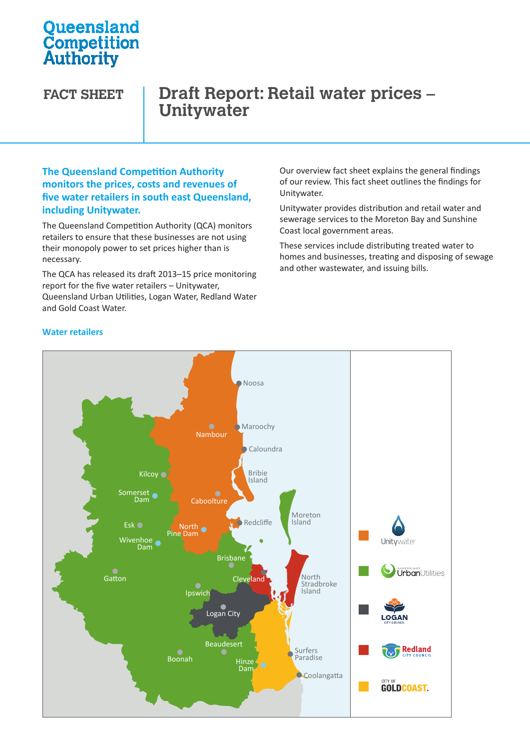# **Oueensland Competition**<br>Authority

# **FACT SHEET Draft Report: Retail water prices – Unitywater**

#### **The Queensland Competition Authority monitors the prices, costs and revenues of five water retailers in south east Queensland, including Unitywater.**

The Queensland Competition Authority (QCA) monitors retailers to ensure that these businesses are not using their monopoly power to set prices higher than is necessary.

The QCA has released its draft 2013–15 price monitoring report for the five water retailers – Unitywater, Queensland Urban Utilities, Logan Water, Redland Water Urban Utilities Water Water and Gold Coast Water.

Our overview fact sheet explains the general findings of our review. This fact sheet outlines the findings for Unitywater.

Unitywater provides distribution and retail water and sewerage services to the Moreton Bay and Sunshine Coast local government areas.

These services include distributing treated water to homes and businesses, treating and disposing of sewage and other wastewater, and issuing bills.



#### **Water retailers**